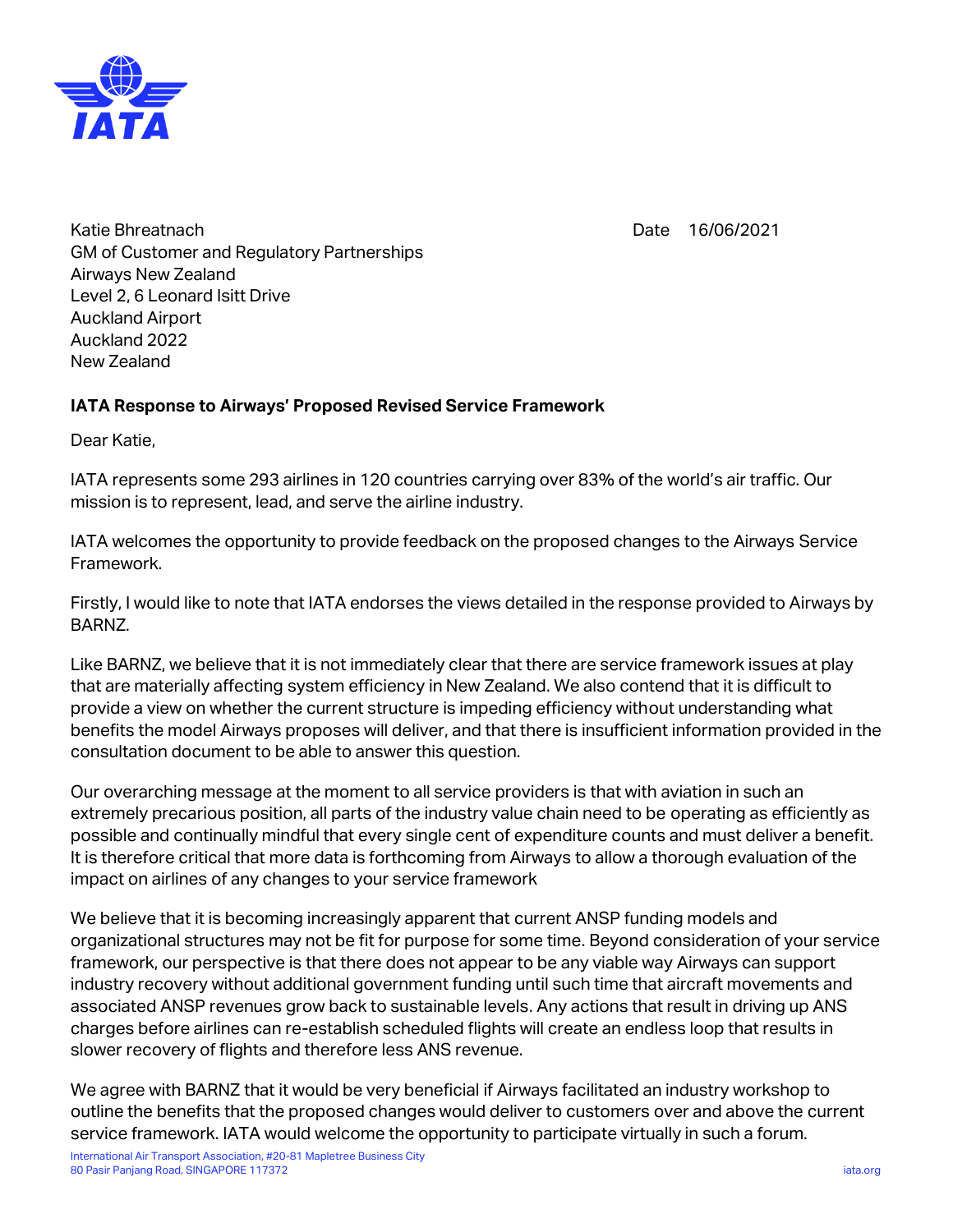

Date 16/06/2021

Katie Bhreatnach GM of Customer and Regulatory Partnerships Airways New Zealand Level 2, 6 Leonard Isitt Drive Auckland Airport Auckland 2022 New Zealand

## **IATA Response to Airways' Proposed Revised Service Framework**

Dear Katie,

IATA represents some 293 airlines in 120 countries carrying over 83% of the world's air traffic. Our mission is to represent, lead, and serve the airline industry.

IATA welcomes the opportunity to provide feedback on the proposed changes to the Airways Service Framework.

Firstly, I would like to note that IATA endorses the views detailed in the response provided to Airways by BARNZ.

Like BARNZ, we believe that it is not immediately clear that there are service framework issues at play that are materially affecting system efficiency in New Zealand. We also contend that it is difficult to provide a view on whether the current structure is impeding efficiency without understanding what benefits the model Airways proposes will deliver, and that there is insufficient information provided in the consultation document to be able to answer this question.

Our overarching message at the moment to all service providers is that with aviation in such an extremely precarious position, all parts of the industry value chain need to be operating as efficiently as possible and continually mindful that every single cent of expenditure counts and must deliver a benefit. It is therefore critical that more data is forthcoming from Airways to allow a thorough evaluation of the impact on airlines of any changes to your service framework

We believe that it is becoming increasingly apparent that current ANSP funding models and organizational structures may not be fit for purpose for some time. Beyond consideration of your service framework, our perspective is that there does not appear to be any viable way Airways can support industry recovery without additional government funding until such time that aircraft movements and associated ANSP revenues grow back to sustainable levels. Any actions that result in driving up ANS charges before airlines can re-establish scheduled flights will create an endless loop that results in slower recovery of flights and therefore less ANS revenue.

We agree with BARNZ that it would be very beneficial if Airways facilitated an industry workshop to outline the benefits that the proposed changes would deliver to customers over and above the current service framework. IATA would welcome the opportunity to participate virtually in such a forum.